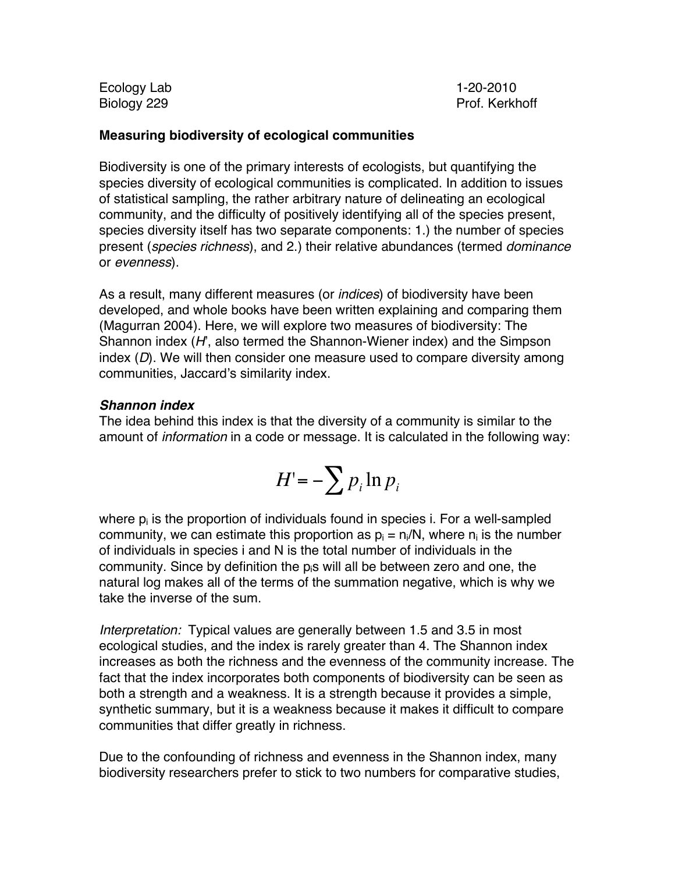Ecology Lab 1-20-2010

Biology 229 **Prof. Kerkhoff** 

### **Measuring biodiversity of ecological communities**

Biodiversity is one of the primary interests of ecologists, but quantifying the species diversity of ecological communities is complicated. In addition to issues of statistical sampling, the rather arbitrary nature of delineating an ecological community, and the difficulty of positively identifying all of the species present, species diversity itself has two separate components: 1.) the number of species present (*species richness*), and 2.) their relative abundances (termed *dominance* or *evenness*).

As a result, many different measures (or *indices*) of biodiversity have been developed, and whole books have been written explaining and comparing them (Magurran 2004). Here, we will explore two measures of biodiversity: The Shannon index (*H*', also termed the Shannon-Wiener index) and the Simpson index (*D*). We will then consider one measure used to compare diversity among communities, Jaccard's similarity index.

### *Shannon index*

The idea behind this index is that the diversity of a community is similar to the amount of *information* in a code or message. It is calculated in the following way:

$$
H' = -\sum p_i \ln p_i
$$

community. Since by definition the p<sub>i</sub>s will all be between zero and one, the<br>natural log makes all of the terms of the summation negative, which is why we where  $p_i$  is the proportion of individuals found in species i. For a well-sampled community, we can estimate this proportion as  $p_i = n_i/N$ , where  $n_i$  is the number of individuals in species i and N is the total number of individuals in the community. Since by definition the  $p_i s$  will all be between zero and one, the take the inverse of the sum.

*Interpretation:* Typical values are generally between 1.5 and 3.5 in most ecological studies, and the index is rarely greater than 4. The Shannon index increases as both the richness and the evenness of the community increase. The fact that the index incorporates both components of biodiversity can be seen as both a strength and a weakness. It is a strength because it provides a simple, synthetic summary, but it is a weakness because it makes it difficult to compare communities that differ greatly in richness.

Due to the confounding of richness and evenness in the Shannon index, many biodiversity researchers prefer to stick to two numbers for comparative studies,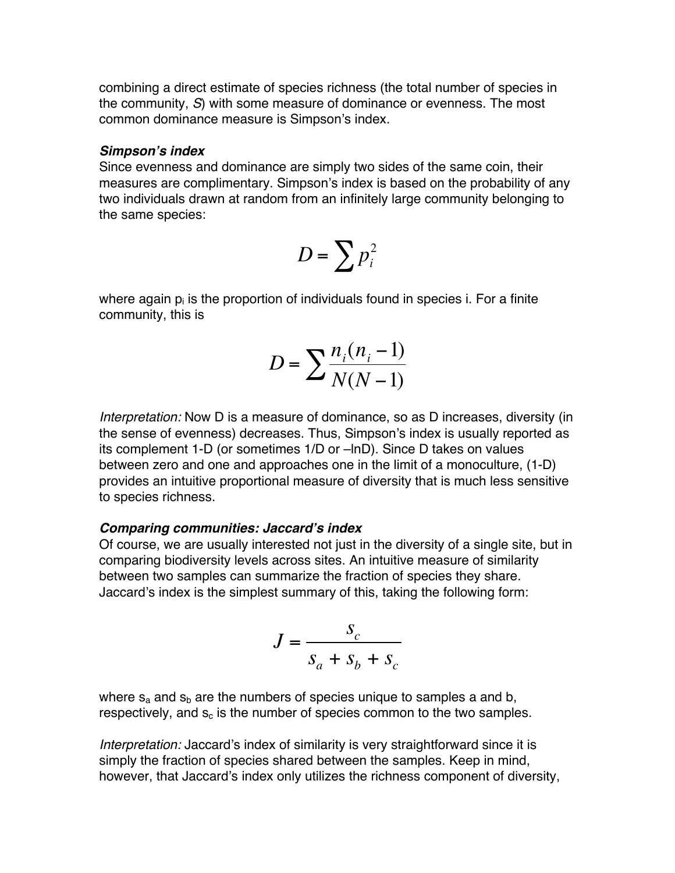combining a direct estimate of species richness (the total number of species in the community, *S*) with some measure of dominance or evenness. The most common dominance measure is Simpson's index.

#### *Simpson***'***s index*

Since evenness and dominance are simply two sides of the same coin, their measures are complimentary. Simpson's index is based on the probability of any two individuals drawn at random from an infinitely large community belonging to the same species:

$$
D=\sum p_i^2
$$

where again  $p_i$  is the proportion of individuals found in species i. For a finite community, this is

$$
D = \sum \frac{n_i(n_i - 1)}{N(N - 1)}
$$

petween zero and one and approacnes one in the limit of a monoculture, (1-D)<br>provides an intuitive proportional measure of diversity that is much less sensitive *Interpretation:* Now D is a measure of dominance, so as D increases, diversity (in the sense of evenness) decreases. Thus, Simpson's index is usually reported as its complement 1-D (or sometimes 1/D or –lnD). Since D takes on values between zero and one and approaches one in the limit of a monoculture, (1-D) to species richness.

#### *Comparing communities: Jaccard***'***s index*

Of course, we are usually interested not just in the diversity of a single site, but in comparing biodiversity levels across sites. An intuitive measure of similarity between two samples can summarize the fraction of species they share. Jaccard's index is the simplest summary of this, taking the following form:

$$
J = \frac{S_c}{S_a + S_b + S_c}
$$

where  $s_a$  and  $s_b$  are the numbers of species unique to samples a and b, respectively, and  $s_c$  is the number of species common to the two samples.

*interpretation:* Jaccard s index of similarity is very straightforward since it is<br>simply the fraction of species shared between the samples. Keep in mind, *Interpretation:* Jaccard's index of similarity is very straightforward since it is however, that Jaccard's index only utilizes the richness component of diversity,